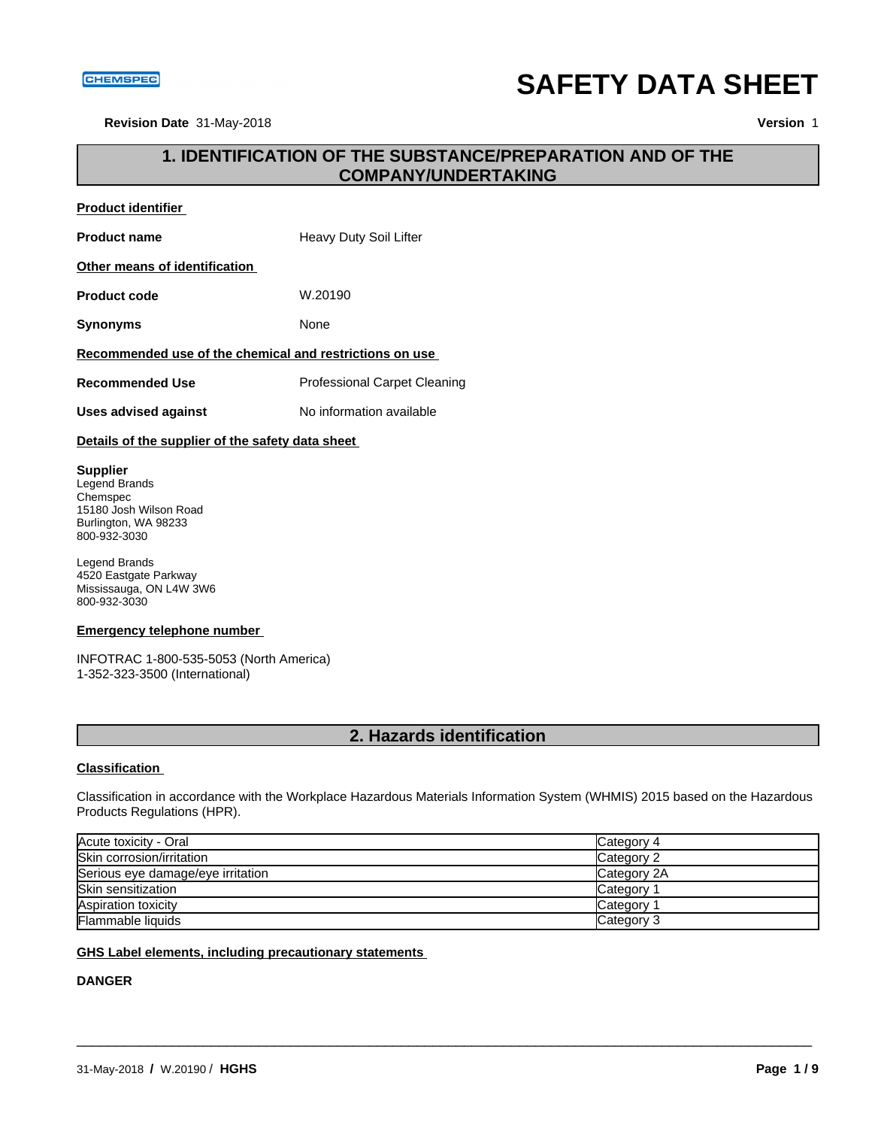#### **CHEMSPEC**

# **SAFETY DATA SHEET**

**Revision Date** 31-May-2018 **Version** 1

## **1. IDENTIFICATION OF THE SUBSTANCE/PREPARATION AND OF THE COMPANY/UNDERTAKING**

### **Product identifier**

**Product name** Heavy Duty Soil Lifter

#### **Other means of identification**

**Product code** W.20190

**Synonyms** None

#### **Recommended use of the chemical and restrictions on use**

**Recommended Use** Professional Carpet Cleaning

**Uses advised against** No information available

#### **Details of the supplier of the safety data sheet**

#### **Supplier**

Legend Brands Chemspec 15180 Josh Wilson Road Burlington, WA 98233 800-932-3030

Legend Brands 4520 Eastgate Parkway Mississauga, ON L4W 3W6 800-932-3030

#### **Emergency telephone number**

INFOTRAC 1-800-535-5053 (North America) 1-352-323-3500 (International)

## **2. Hazards identification**

#### **Classification**

Classification in accordance with the Workplace Hazardous Materials Information System (WHMIS) 2015 based on the Hazardous Products Regulations (HPR).

| Acute toxicity - Oral             | Category 4  |
|-----------------------------------|-------------|
| Skin corrosion/irritation         | Category 2  |
| Serious eye damage/eye irritation | Category 2A |
| Skin sensitization                | Category    |
| Aspiration toxicity               | Category    |
| <b>Flammable liquids</b>          | Category 3  |

\_\_\_\_\_\_\_\_\_\_\_\_\_\_\_\_\_\_\_\_\_\_\_\_\_\_\_\_\_\_\_\_\_\_\_\_\_\_\_\_\_\_\_\_\_\_\_\_\_\_\_\_\_\_\_\_\_\_\_\_\_\_\_\_\_\_\_\_\_\_\_\_\_\_\_\_\_\_\_\_\_\_\_\_\_\_\_\_\_\_\_\_\_

#### **GHS Label elements, including precautionary statements**

### **DANGER**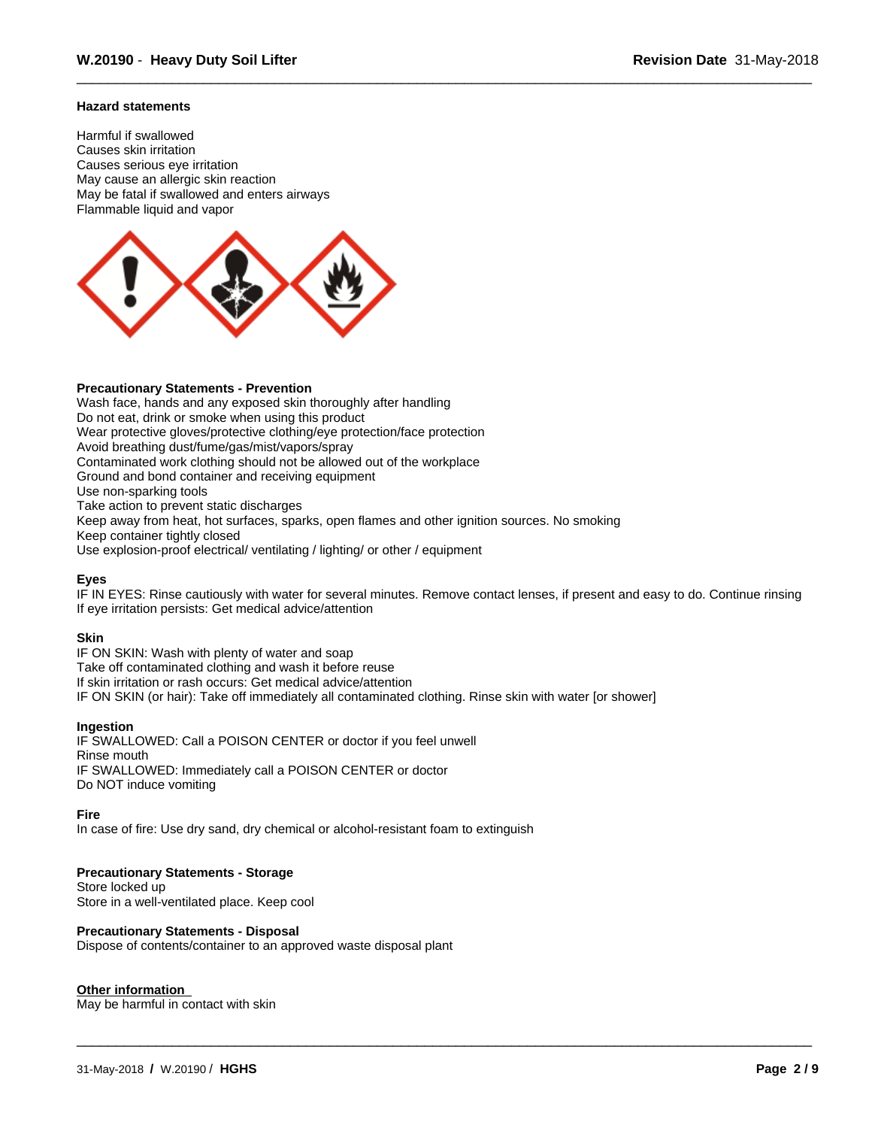#### **Hazard statements**

Harmful if swallowed Causes skin irritation Causes serious eye irritation May cause an allergic skin reaction May be fatal if swallowed and enters airways Flammable liquid and vapor



#### **Precautionary Statements - Prevention**

Wash face, hands and any exposed skin thoroughly after handling Do not eat, drink or smoke when using this product Wear protective gloves/protective clothing/eye protection/face protection Avoid breathing dust/fume/gas/mist/vapors/spray Contaminated work clothing should not be allowed out of the workplace Ground and bond container and receiving equipment Use non-sparking tools Take action to prevent static discharges Keep away from heat, hot surfaces, sparks, open flames and other ignition sources. No smoking Keep container tightly closed Use explosion-proof electrical/ ventilating / lighting/ or other / equipment

#### **Eyes**

IF IN EYES: Rinse cautiously with water for several minutes. Remove contact lenses, if present and easy to do. Continue rinsing If eye irritation persists: Get medical advice/attention

\_\_\_\_\_\_\_\_\_\_\_\_\_\_\_\_\_\_\_\_\_\_\_\_\_\_\_\_\_\_\_\_\_\_\_\_\_\_\_\_\_\_\_\_\_\_\_\_\_\_\_\_\_\_\_\_\_\_\_\_\_\_\_\_\_\_\_\_\_\_\_\_\_\_\_\_\_\_\_\_\_\_\_\_\_\_\_\_\_\_\_\_\_

#### **Skin**

IF ON SKIN: Wash with plenty of water and soap Take off contaminated clothing and wash it before reuse If skin irritation or rash occurs: Get medical advice/attention IF ON SKIN (or hair): Take off immediately all contaminated clothing. Rinse skin with water [or shower]

#### **Ingestion**

IF SWALLOWED: Call a POISON CENTER or doctor if you feel unwell Rinse mouth IF SWALLOWED: Immediately call a POISON CENTER or doctor Do NOT induce vomiting

#### **Fire**

In case of fire: Use dry sand, dry chemical or alcohol-resistant foam to extinguish

#### **Precautionary Statements - Storage**

Store locked up Store in a well-ventilated place. Keep cool

#### **Precautionary Statements - Disposal**

Dispose of contents/container to an approved waste disposal plant

#### **Other information**

May be harmful in contact with skin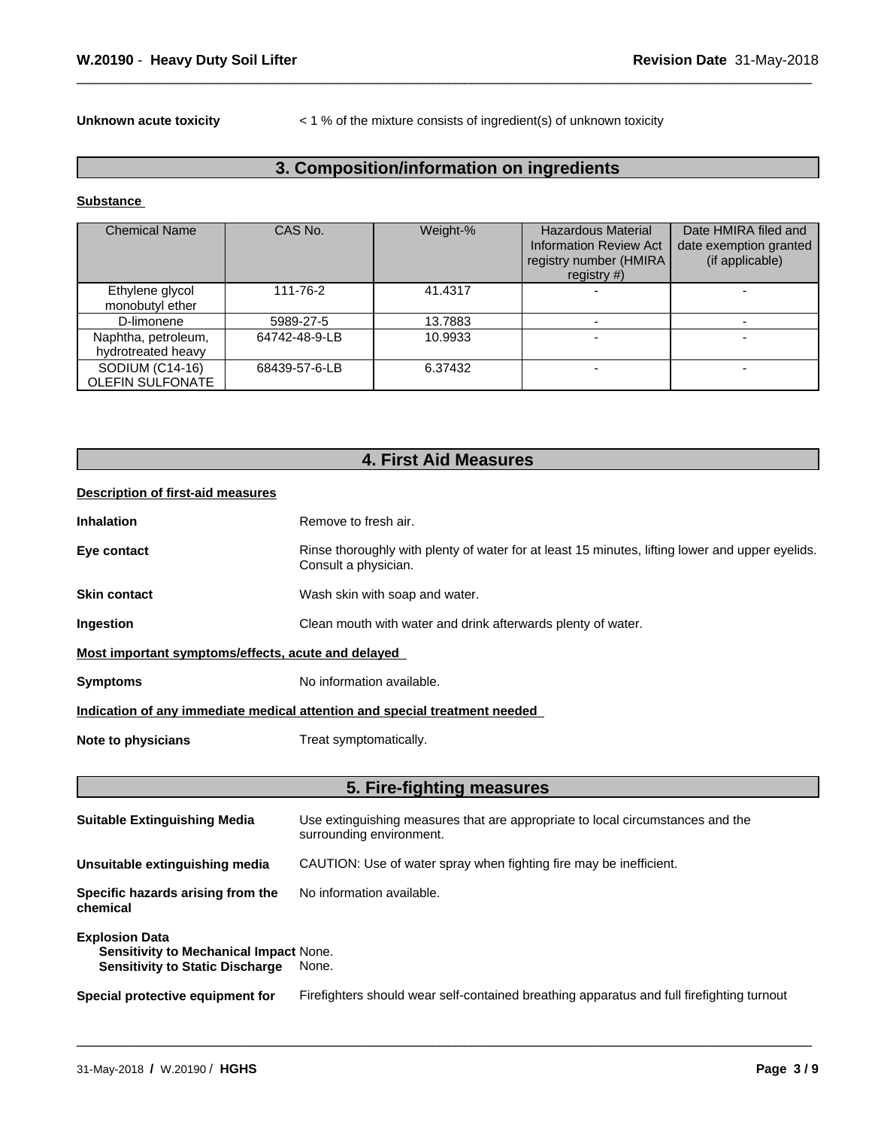**Unknown acute toxicity**  $\lt$  1 % of the mixture consists of ingredient(s) of unknown toxicity

## **3. Composition/information on ingredients**

#### **Substance**

| <b>Chemical Name</b>                       | CAS No.       | Weight-% | <b>Hazardous Material</b><br><b>Information Review Act</b><br>registry number (HMIRA<br>registry $#$ ) | Date HMIRA filed and<br>date exemption granted<br>(if applicable) |
|--------------------------------------------|---------------|----------|--------------------------------------------------------------------------------------------------------|-------------------------------------------------------------------|
| Ethylene glycol<br>monobutyl ether         | 111-76-2      | 41.4317  |                                                                                                        |                                                                   |
| D-limonene                                 | 5989-27-5     | 13.7883  |                                                                                                        |                                                                   |
| Naphtha, petroleum,<br>hydrotreated heavy  | 64742-48-9-LB | 10.9933  |                                                                                                        |                                                                   |
| SODIUM (C14-16)<br><b>OLEFIN SULFONATE</b> | 68439-57-6-LB | 6.37432  |                                                                                                        |                                                                   |

## **4. First Aid Measures**

#### **Description of first-aid measures**

| <b>Inhalation</b>                                  | Remove to fresh air.                                                                                                    |
|----------------------------------------------------|-------------------------------------------------------------------------------------------------------------------------|
| Eye contact                                        | Rinse thoroughly with plenty of water for at least 15 minutes, lifting lower and upper eyelids.<br>Consult a physician. |
| <b>Skin contact</b>                                | Wash skin with soap and water.                                                                                          |
| Ingestion                                          | Clean mouth with water and drink afterwards plenty of water.                                                            |
| Most important symptoms/effects, acute and delayed |                                                                                                                         |
| <b>Symptoms</b>                                    | No information available.                                                                                               |
|                                                    | Indication of any immediate medical attention and special treatment needed                                              |
| Note to physicians                                 | Treat symptomatically.                                                                                                  |
|                                                    |                                                                                                                         |
|                                                    | 5. Fire-fighting measures                                                                                               |

| <b>Suitable Extinguishing Media</b>                                                                              | Use extinguishing measures that are appropriate to local circumstances and the<br>surrounding environment. |
|------------------------------------------------------------------------------------------------------------------|------------------------------------------------------------------------------------------------------------|
| Unsuitable extinguishing media                                                                                   | CAUTION: Use of water spray when fighting fire may be inefficient.                                         |
| Specific hazards arising from the<br>chemical                                                                    | No information available.                                                                                  |
| <b>Explosion Data</b><br><b>Sensitivity to Mechanical Impact None.</b><br><b>Sensitivity to Static Discharge</b> | None.                                                                                                      |
| Special protective equipment for                                                                                 | Firefighters should wear self-contained breathing apparatus and full firefighting turnout                  |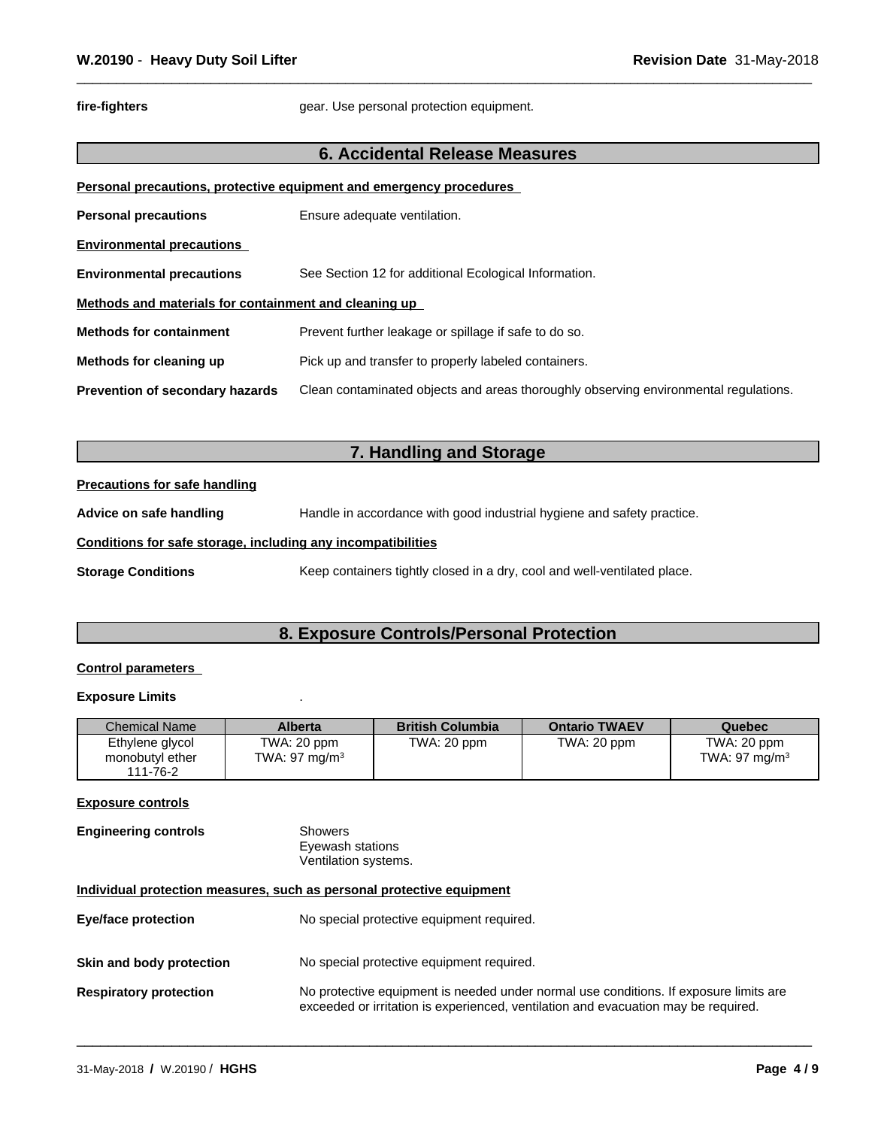fire-fighters **fire-fighters** gear. Use personal protection equipment.

### **6. Accidental Release Measures**

|                                                       | Personal precautions, protective equipment and emergency procedures                  |
|-------------------------------------------------------|--------------------------------------------------------------------------------------|
| <b>Personal precautions</b>                           | Ensure adequate ventilation.                                                         |
| <b>Environmental precautions</b>                      |                                                                                      |
| <b>Environmental precautions</b>                      | See Section 12 for additional Ecological Information.                                |
| Methods and materials for containment and cleaning up |                                                                                      |
| <b>Methods for containment</b>                        | Prevent further leakage or spillage if safe to do so.                                |
| Methods for cleaning up                               | Pick up and transfer to properly labeled containers.                                 |
| <b>Prevention of secondary hazards</b>                | Clean contaminated objects and areas thoroughly observing environmental regulations. |

## **7. Handling and Storage**

#### **Precautions for safe handling**

**Advice on safe handling** Handle in accordance with good industrial hygiene and safety practice.

#### **Conditions for safe storage, including any incompatibilities**

**Storage Conditions** Keep containers tightly closed in a dry, cool and well-ventilated place.

## **8. Exposure Controls/Personal Protection**

#### **Control parameters**

#### **Exposure Limits** .

| <b>Chemical Name</b>                           | <b>Alberta</b>                          | <b>British Columbia</b> | <b>Ontario TWAEV</b> | Quebec                          |
|------------------------------------------------|-----------------------------------------|-------------------------|----------------------|---------------------------------|
| Ethylene glycol<br>monobutyl ether<br>111-76-2 | TWA: 20 ppm<br>TWA: $97 \text{ mg/m}^3$ | TWA: 20 ppm             | TWA: 20 ppm          | TWA: 20 ppm<br>TWA: 97 mg/m $3$ |

#### **Exposure controls**

**Engineering controls** Showers Eyewash stations Ventilation systems.

#### **Individual protection measures, such as personal protective equipment**

| <b>Eve/face protection</b>    | No special protective equipment required.                                                                                                                                   |
|-------------------------------|-----------------------------------------------------------------------------------------------------------------------------------------------------------------------------|
| Skin and body protection      | No special protective equipment required.                                                                                                                                   |
| <b>Respiratory protection</b> | No protective equipment is needed under normal use conditions. If exposure limits are<br>exceeded or irritation is experienced, ventilation and evacuation may be required. |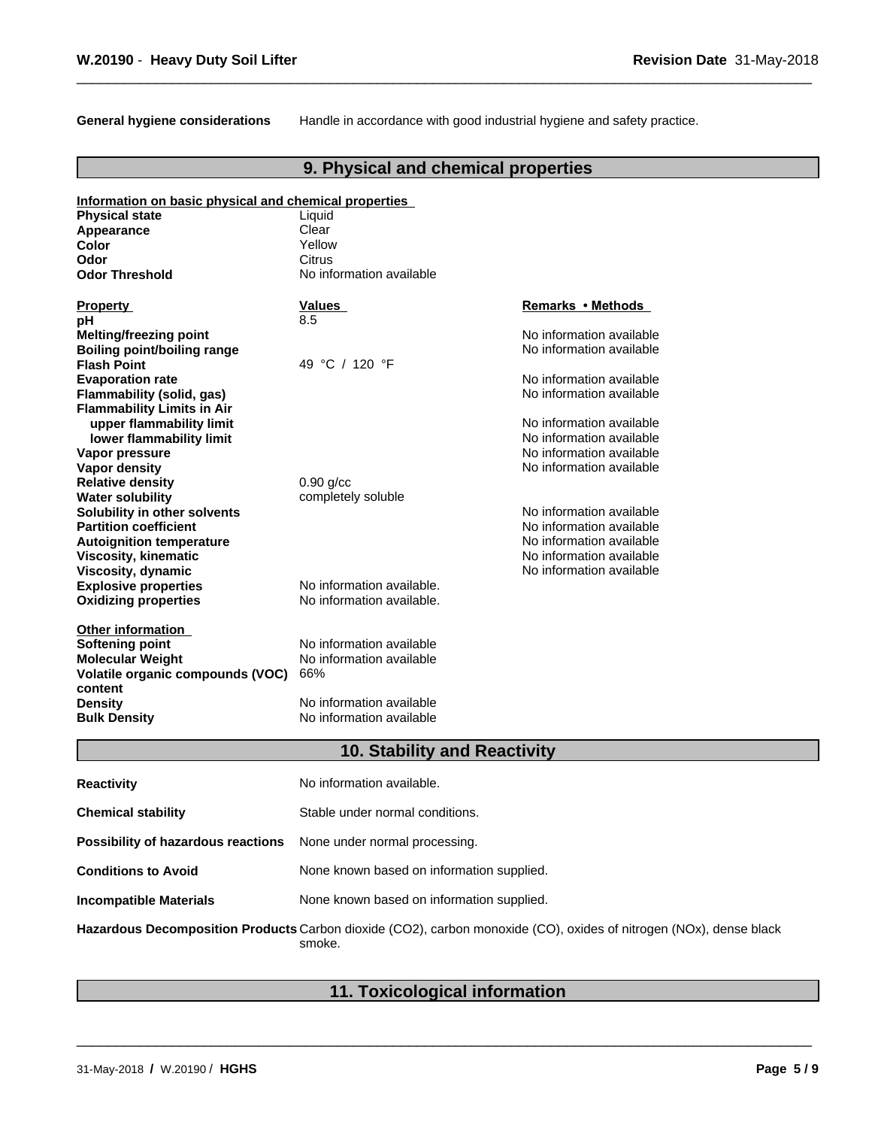**General hygiene considerations** Handle in accordance with good industrial hygiene and safety practice.

## **9. Physical and chemical properties**

| Information on basic physical and chemical properties |                                     |                          |
|-------------------------------------------------------|-------------------------------------|--------------------------|
| <b>Physical state</b>                                 | Liquid                              |                          |
| Appearance                                            | Clear                               |                          |
| <b>Color</b>                                          | Yellow                              |                          |
| Odor                                                  | Citrus                              |                          |
| <b>Odor Threshold</b>                                 | No information available            |                          |
| <b>Property</b>                                       | <b>Values</b>                       | Remarks • Methods        |
| рH                                                    | 8.5                                 |                          |
| <b>Melting/freezing point</b>                         |                                     | No information available |
| Boiling point/boiling range                           |                                     | No information available |
| <b>Flash Point</b>                                    | 49 °C / 120 °F                      |                          |
| <b>Evaporation rate</b>                               |                                     | No information available |
| <b>Flammability (solid, gas)</b>                      |                                     | No information available |
| <b>Flammability Limits in Air</b>                     |                                     |                          |
| upper flammability limit                              |                                     | No information available |
| lower flammability limit                              |                                     | No information available |
| Vapor pressure                                        |                                     | No information available |
| Vapor density                                         |                                     | No information available |
| <b>Relative density</b>                               | $0.90$ g/cc                         |                          |
| <b>Water solubility</b>                               | completely soluble                  |                          |
| Solubility in other solvents                          |                                     | No information available |
| <b>Partition coefficient</b>                          |                                     | No information available |
| <b>Autoignition temperature</b>                       |                                     | No information available |
| <b>Viscosity, kinematic</b>                           |                                     | No information available |
| Viscosity, dynamic                                    |                                     | No information available |
| <b>Explosive properties</b>                           | No information available.           |                          |
| <b>Oxidizing properties</b>                           | No information available.           |                          |
| <b>Other information</b>                              |                                     |                          |
| <b>Softening point</b>                                | No information available            |                          |
| <b>Molecular Weight</b>                               | No information available            |                          |
| Volatile organic compounds (VOC)                      | 66%                                 |                          |
| content                                               |                                     |                          |
| <b>Density</b>                                        | No information available            |                          |
| <b>Bulk Density</b>                                   | No information available            |                          |
|                                                       |                                     |                          |
|                                                       | <b>10. Stability and Reactivity</b> |                          |

| <b>Reactivity</b>                  | No information available.                                                                                                    |
|------------------------------------|------------------------------------------------------------------------------------------------------------------------------|
| <b>Chemical stability</b>          | Stable under normal conditions.                                                                                              |
| Possibility of hazardous reactions | None under normal processing.                                                                                                |
| <b>Conditions to Avoid</b>         | None known based on information supplied.                                                                                    |
| <b>Incompatible Materials</b>      | None known based on information supplied.                                                                                    |
|                                    | Hazardous Decomposition Products Carbon dioxide (CO2), carbon monoxide (CO), oxides of nitrogen (NOx), dense black<br>smoke. |

## **11. Toxicological information**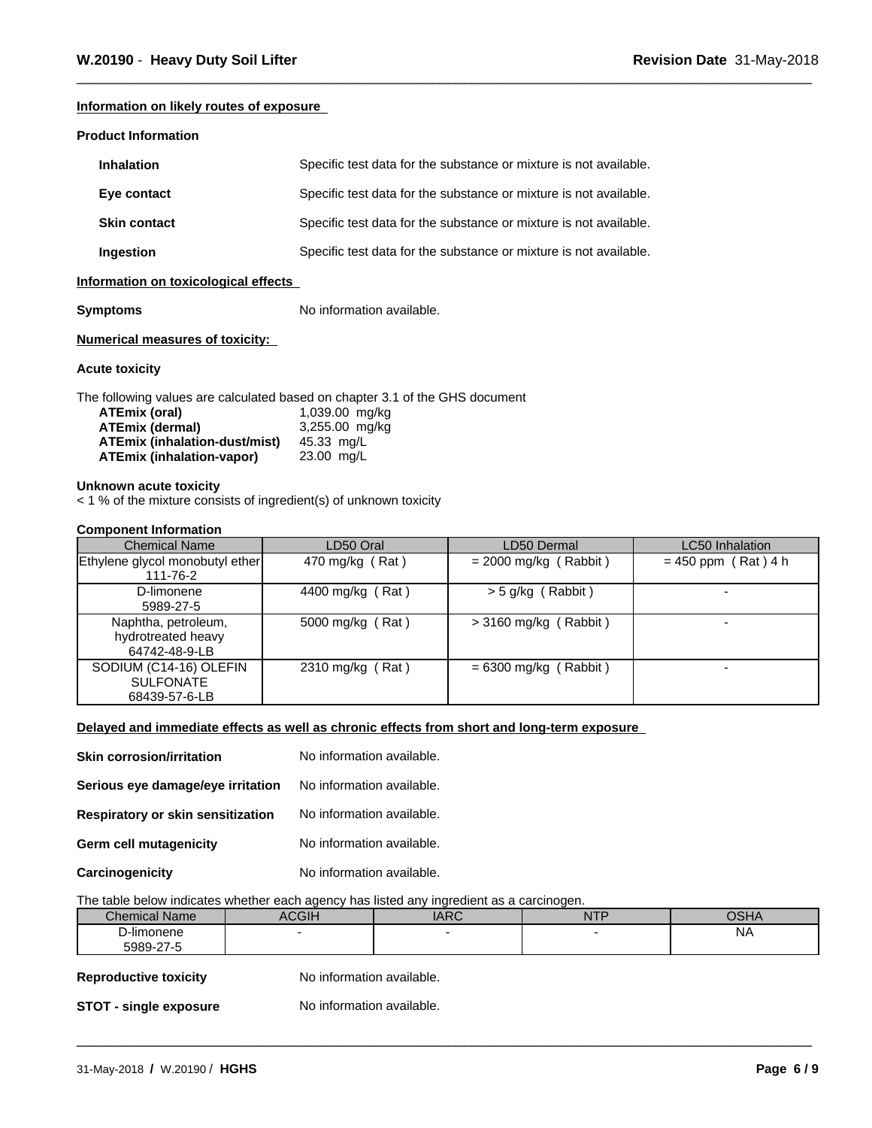#### **Information on likely routes of exposure**

#### **Product Information**

| <b>Inhalation</b>   | Specific test data for the substance or mixture is not available. |
|---------------------|-------------------------------------------------------------------|
| Eye contact         | Specific test data for the substance or mixture is not available. |
| <b>Skin contact</b> | Specific test data for the substance or mixture is not available. |
| Ingestion           | Specific test data for the substance or mixture is not available. |

#### **Information on toxicological effects**

**Symptoms** No information available.

#### **Numerical measures of toxicity:**

#### **Acute toxicity**

The following values are calculated based on chapter 3.1 of the GHS document

| ATEmix (oral)                 | 1,039.00 mg/kg |
|-------------------------------|----------------|
| <b>ATEmix (dermal)</b>        | 3,255.00 mg/kg |
| ATEmix (inhalation-dust/mist) | 45.33 ma/L     |
| ATEmix (inhalation-vapor)     | 23.00 mg/L     |

#### **Unknown acute toxicity**

 $<$  1 % of the mixture consists of ingredient(s) of unknown toxicity

#### **Component Information**

| <b>Chemical Name</b>                                        | LD50 Oral        | LD50 Dermal             | <b>LC50</b> Inhalation |
|-------------------------------------------------------------|------------------|-------------------------|------------------------|
| Ethylene glycol monobutyl ether<br>111-76-2                 | 470 mg/kg (Rat)  | $= 2000$ mg/kg (Rabbit) | $= 450$ ppm (Rat) 4 h  |
| D-limonene<br>5989-27-5                                     | 4400 mg/kg (Rat) | $>$ 5 g/kg (Rabbit)     |                        |
| Naphtha, petroleum,<br>hydrotreated heavy<br>64742-48-9-LB  | 5000 mg/kg (Rat) | $>$ 3160 mg/kg (Rabbit) |                        |
| SODIUM (C14-16) OLEFIN<br><b>SULFONATE</b><br>68439-57-6-LB | 2310 mg/kg (Rat) | $= 6300$ mg/kg (Rabbit) |                        |

#### **Delayed and immediate effects as well as chronic effects from short and long-term exposure**

| <b>Skin corrosion/irritation</b>  | No information available. |
|-----------------------------------|---------------------------|
| Serious eye damage/eye irritation | No information available. |
| Respiratory or skin sensitization | No information available. |
| Germ cell mutagenicity            | No information available. |
| Carcinogenicity                   | No information available. |

#### The table below indicates whether each agency has listed any ingredient as a carcinogen.

| Chemical<br><b>Name</b>     | <b>ACGIP</b> | $\sqrt{2}$ | <b>NITE</b><br>. | $\sqrt{2111}$ |
|-----------------------------|--------------|------------|------------------|---------------|
| .<br>D-limonene             |              |            |                  | <b>NA</b>     |
| $\sim$ $\sim$<br>coon<br>┚┶ |              |            |                  |               |

\_\_\_\_\_\_\_\_\_\_\_\_\_\_\_\_\_\_\_\_\_\_\_\_\_\_\_\_\_\_\_\_\_\_\_\_\_\_\_\_\_\_\_\_\_\_\_\_\_\_\_\_\_\_\_\_\_\_\_\_\_\_\_\_\_\_\_\_\_\_\_\_\_\_\_\_\_\_\_\_\_\_\_\_\_\_\_\_\_\_\_\_\_

### **Reproductive toxicity** No information available.

**STOT** - **single exposure** No information available.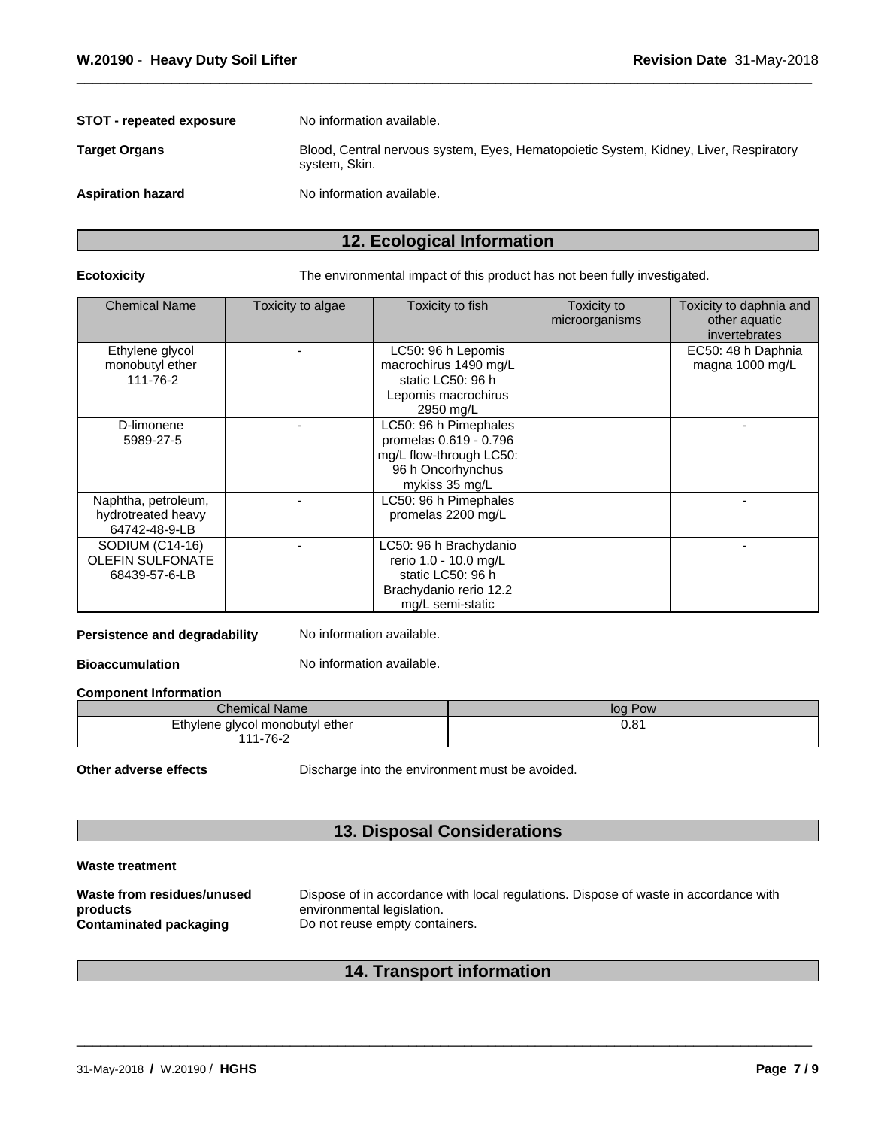| <b>STOT - repeated exposure</b> | No information available.                                                                              |
|---------------------------------|--------------------------------------------------------------------------------------------------------|
| <b>Target Organs</b>            | Blood, Central nervous system, Eyes, Hematopoietic System, Kidney, Liver, Respiratory<br>system, Skin. |
| <b>Aspiration hazard</b>        | No information available.                                                                              |

## **12. Ecological Information**

**Ecotoxicity** The environmental impact of this product has not been fully investigated.

| <b>Chemical Name</b>                                        | Toxicity to algae | Toxicity to fish                                                                                                   | Toxicity to<br>microorganisms | Toxicity to daphnia and<br>other aquatic<br>invertebrates |
|-------------------------------------------------------------|-------------------|--------------------------------------------------------------------------------------------------------------------|-------------------------------|-----------------------------------------------------------|
| Ethylene glycol<br>monobutyl ether<br>111-76-2              |                   | LC50: 96 h Lepomis<br>macrochirus 1490 mg/L<br>static LC50: 96 h<br>Lepomis macrochirus<br>2950 mg/L               |                               | EC50: 48 h Daphnia<br>magna 1000 mg/L                     |
| D-limonene<br>5989-27-5                                     |                   | LC50: 96 h Pimephales<br>promelas 0.619 - 0.796<br>mg/L flow-through LC50:<br>96 h Oncorhynchus<br>mykiss 35 mg/L  |                               |                                                           |
| Naphtha, petroleum,<br>hydrotreated heavy<br>64742-48-9-LB  |                   | LC50: 96 h Pimephales<br>promelas 2200 mg/L                                                                        |                               |                                                           |
| SODIUM (C14-16)<br><b>OLEFIN SULFONATE</b><br>68439-57-6-LB |                   | LC50: 96 h Brachydanio<br>rerio 1.0 - 10.0 mg/L<br>static LC50: 96 h<br>Brachydanio rerio 12.2<br>mg/L semi-static |                               |                                                           |

### **Persistence and degradability** No information available.

**Bioaccumulation** No information available.

#### **Component Information**

| <b>Chemical Name</b>            | log Pow |
|---------------------------------|---------|
| Ethylene glycol monobutyl ether | 0.81    |
| 111-76-2                        |         |

**Other adverse effects** Discharge into the environment must be avoided.

## **13. Disposal Considerations**

#### **Waste treatment**

## **14. Transport information**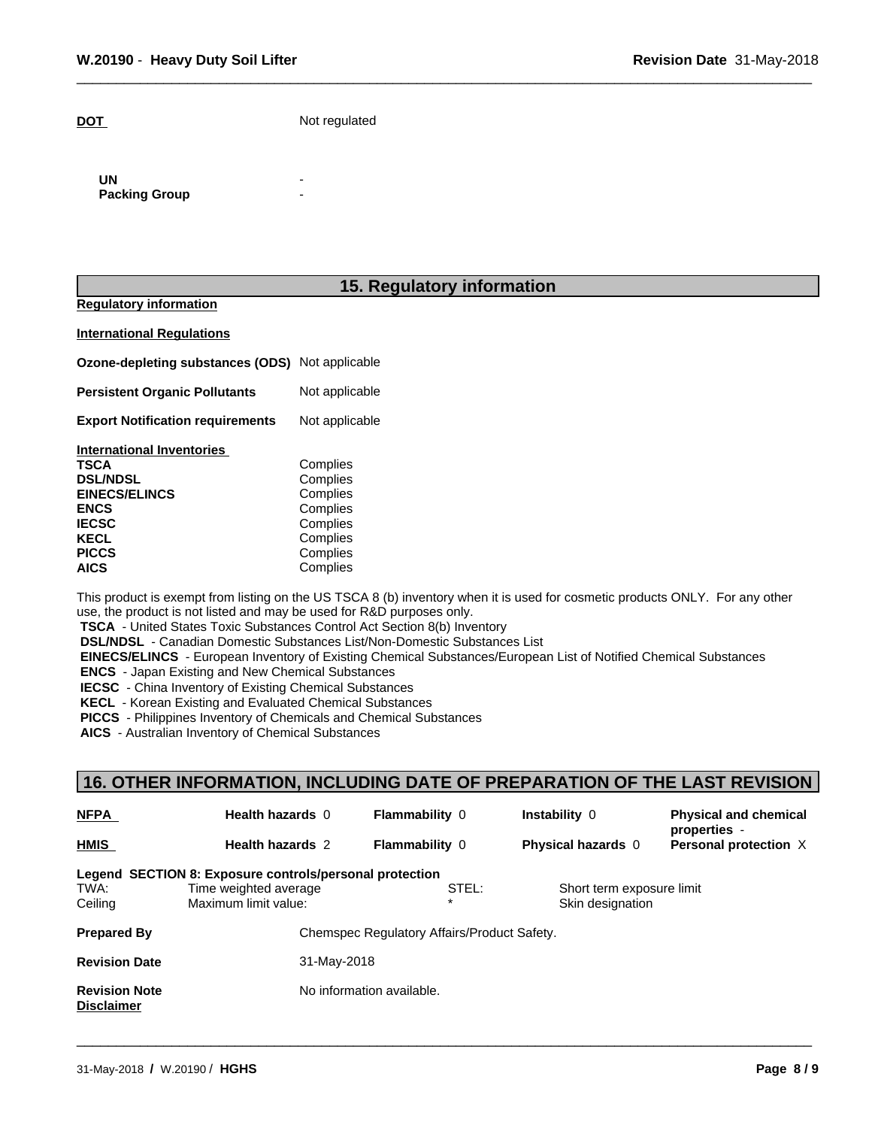**DOT** Not regulated

**UN** - **Packing Group** 

### **15. Regulatory information**

**Regulatory information**

**International Regulations**

**Ozone-depleting substances (ODS)** Not applicable

**Persistent Organic Pollutants** Not applicable

**Export Notification requirements** Not applicable

| <b>International Inventories</b> |          |  |
|----------------------------------|----------|--|
| TSCA                             | Complies |  |
| <b>DSL/NDSL</b>                  | Complies |  |
| <b>EINECS/ELINCS</b>             | Complies |  |
| <b>ENCS</b>                      | Complies |  |
| <b>IECSC</b>                     | Complies |  |
| KECL                             | Complies |  |
| <b>PICCS</b>                     | Complies |  |
| <b>AICS</b>                      | Complies |  |
|                                  |          |  |

This product is exempt from listing on the US TSCA 8 (b) inventory when it is used for cosmetic products ONLY. For any other use, the product is not listed and may be used for R&D purposes only.

 **TSCA** - United States Toxic Substances Control Act Section 8(b) Inventory

 **DSL/NDSL** - Canadian Domestic Substances List/Non-Domestic Substances List

 **EINECS/ELINCS** - European Inventory of Existing Chemical Substances/European List of Notified Chemical Substances

 **ENCS** - Japan Existing and New Chemical Substances

 **IECSC** - China Inventory of Existing Chemical Substances

 **KECL** - Korean Existing and Evaluated Chemical Substances

 **PICCS** - Philippines Inventory of Chemicals and Chemical Substances

 **AICS** - Australian Inventory of Chemical Substances

## **16. OTHER INFORMATION, INCLUDING DATE OF PREPARATION OF THE LAST REVISION**

| <b>NFPA</b>                               | Health hazards 0                                        | <b>Flammability 0</b>                       | Instability 0             | <b>Physical and chemical</b><br>properties - |
|-------------------------------------------|---------------------------------------------------------|---------------------------------------------|---------------------------|----------------------------------------------|
| HMIS                                      | <b>Health hazards 2</b>                                 | <b>Flammability 0</b>                       | Physical hazards 0        | Personal protection X                        |
|                                           | Legend SECTION 8: Exposure controls/personal protection |                                             |                           |                                              |
| TWA:                                      | Time weighted average                                   | STEL:                                       | Short term exposure limit |                                              |
| Ceiling                                   | Maximum limit value:                                    |                                             | Skin designation          |                                              |
| <b>Prepared By</b>                        |                                                         | Chemspec Regulatory Affairs/Product Safety. |                           |                                              |
| <b>Revision Date</b>                      | 31-May-2018                                             |                                             |                           |                                              |
| <b>Revision Note</b><br><b>Disclaimer</b> |                                                         | No information available.                   |                           |                                              |